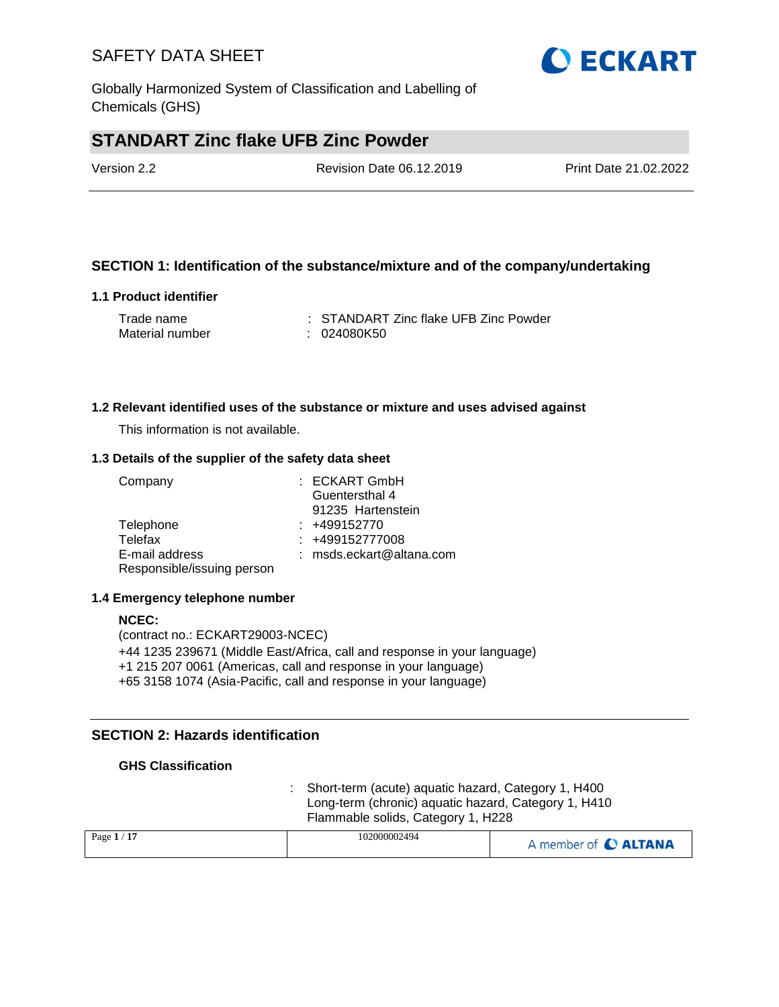Globally Harmonized System of Classification and Labelling of Chemicals (GHS)

## **STANDART Zinc flake UFB Zinc Powder**

| Version 2.2 | <b>Revision Date 06.12.2019</b> | Print Date 21.02.2022 |
|-------------|---------------------------------|-----------------------|
|             |                                 |                       |

#### **SECTION 1: Identification of the substance/mixture and of the company/undertaking**

#### **1.1 Product identifier**

| Trade name      | : STANDART Zinc flake UFB Zinc Powder |
|-----------------|---------------------------------------|
| Material number | : 024080K50                           |

#### **1.2 Relevant identified uses of the substance or mixture and uses advised against**

This information is not available.

#### **1.3 Details of the supplier of the safety data sheet**

| Company                    | : ECKART GmbH            |
|----------------------------|--------------------------|
|                            | Guentersthal 4           |
|                            | 91235 Hartenstein        |
| Telephone                  | $: +499152770$           |
| Telefax                    | : +499152777008          |
| E-mail address             | : msds.eckart@altana.com |
| Responsible/issuing person |                          |

#### **1.4 Emergency telephone number**

#### **NCEC:** (contract no.: ECKART29003-NCEC) +44 1235 239671 (Middle East/Africa, call and response in your language) +1 215 207 0061 (Americas, call and response in your language) +65 3158 1074 (Asia-Pacific, call and response in your language)

### **SECTION 2: Hazards identification**

#### **GHS Classification**

: Short-term (acute) aquatic hazard, Category 1, H400 Long-term (chronic) aquatic hazard, Category 1, H410 Flammable solids, Category 1, H228

| Page $1/17$ | 102000002494 | A member of C ALTANA |
|-------------|--------------|----------------------|
|             |              |                      |

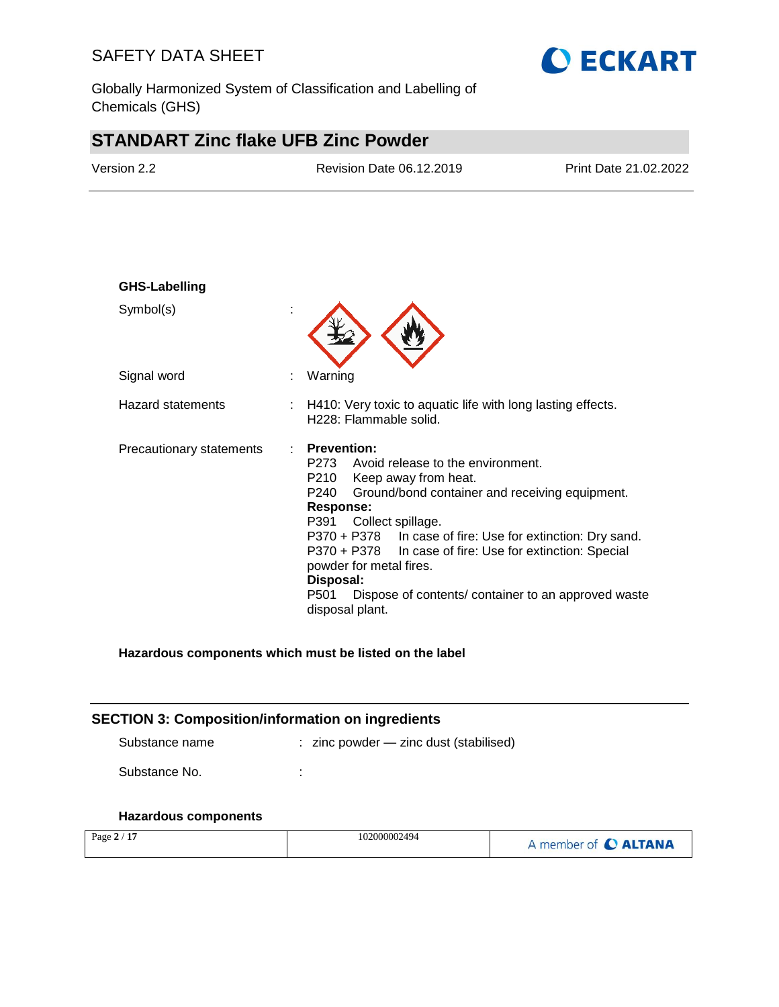Globally Harmonized System of Classification and Labelling of Chemicals (GHS)

# **STANDART Zinc flake UFB Zinc Powder**

| Version 2.2              | Revision Date 06.12.2019                                                                                                                                                                                                                                                                                                                                                                                           | Print Date 21.02.2022                          |
|--------------------------|--------------------------------------------------------------------------------------------------------------------------------------------------------------------------------------------------------------------------------------------------------------------------------------------------------------------------------------------------------------------------------------------------------------------|------------------------------------------------|
|                          |                                                                                                                                                                                                                                                                                                                                                                                                                    |                                                |
| <b>GHS-Labelling</b>     |                                                                                                                                                                                                                                                                                                                                                                                                                    |                                                |
| Symbol(s)                |                                                                                                                                                                                                                                                                                                                                                                                                                    |                                                |
| Signal word              | Warning                                                                                                                                                                                                                                                                                                                                                                                                            |                                                |
| <b>Hazard statements</b> | H410: Very toxic to aquatic life with long lasting effects.<br>H228: Flammable solid.                                                                                                                                                                                                                                                                                                                              |                                                |
| Precautionary statements | <b>Prevention:</b><br>P273<br>Avoid release to the environment.<br>P210<br>Keep away from heat.<br>P240<br>Ground/bond container and receiving equipment.<br><b>Response:</b><br>P391<br>Collect spillage.<br>P370 + P378<br>P370 + P378<br>In case of fire: Use for extinction: Special<br>powder for metal fires.<br>Disposal:<br>P501<br>Dispose of contents/ container to an approved waste<br>disposal plant. | In case of fire: Use for extinction: Dry sand. |

**O ECKART** 

#### **Hazardous components which must be listed on the label**

| <b>SECTION 3: Composition/information on ingredients</b> |                                            |  |  |
|----------------------------------------------------------|--------------------------------------------|--|--|
| Substance name                                           | $:$ zinc powder $-$ zinc dust (stabilised) |  |  |
| Substance No.                                            |                                            |  |  |
|                                                          |                                            |  |  |

# **Hazardous components**

| Page $2/17$ | 102000002494 | A member of C ALTANA |
|-------------|--------------|----------------------|
|-------------|--------------|----------------------|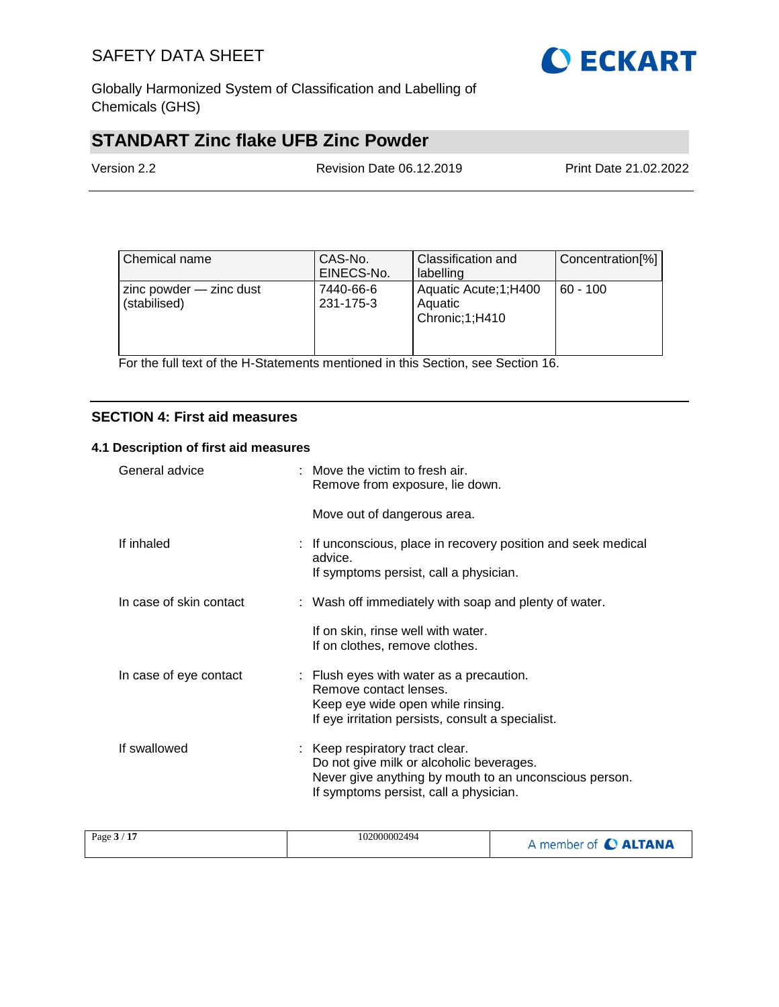

Globally Harmonized System of Classification and Labelling of Chemicals (GHS)

# **STANDART Zinc flake UFB Zinc Powder**

| Version 2.2 | Revision Date 06.12.2019 | Print Date 21.02.2022 |
|-------------|--------------------------|-----------------------|
|             |                          |                       |

| Chemical name                               | CAS-No.<br>EINECS-No.  | Classification and<br>labelling                     | Concentration[%] |
|---------------------------------------------|------------------------|-----------------------------------------------------|------------------|
| $zinc$ powder $-$ zinc dust<br>(stabilised) | 7440-66-6<br>231-175-3 | Aquatic Acute; 1; H400<br>Aquatic<br>Chronic;1;H410 | $60 - 100$       |

For the full text of the H-Statements mentioned in this Section, see Section 16.

### **SECTION 4: First aid measures**

#### **4.1 Description of first aid measures**

| General advice          | Move the victim to fresh air.<br>Remove from exposure, lie down.                                                                                                                |
|-------------------------|---------------------------------------------------------------------------------------------------------------------------------------------------------------------------------|
|                         | Move out of dangerous area.                                                                                                                                                     |
| If inhaled              | : If unconscious, place in recovery position and seek medical<br>advice.<br>If symptoms persist, call a physician.                                                              |
| In case of skin contact | : Wash off immediately with soap and plenty of water.                                                                                                                           |
|                         | If on skin, rinse well with water.<br>If on clothes, remove clothes.                                                                                                            |
| In case of eye contact  | $\therefore$ Flush eyes with water as a precaution.<br>Remove contact lenses.<br>Keep eye wide open while rinsing.<br>If eye irritation persists, consult a specialist.         |
| If swallowed            | : Keep respiratory tract clear.<br>Do not give milk or alcoholic beverages.<br>Never give anything by mouth to an unconscious person.<br>If symptoms persist, call a physician. |

| 17<br>Page $3/$ | 102000002494 | A member of <b>C ALTANA</b> |
|-----------------|--------------|-----------------------------|
|-----------------|--------------|-----------------------------|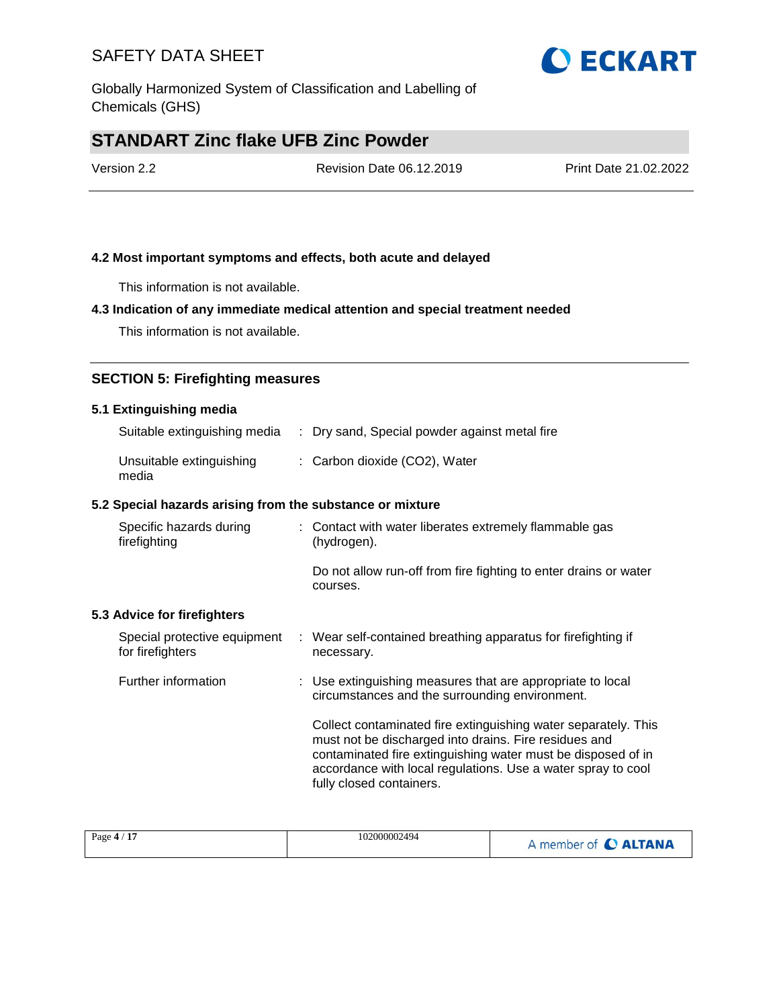Globally Harmonized System of Classification and Labelling of Chemicals (GHS)

## **STANDART Zinc flake UFB Zinc Powder**

| Version 2.2 | Revision Date 06.12.2019 | Print Date 21.02.2022 |
|-------------|--------------------------|-----------------------|
|             |                          |                       |

#### **4.2 Most important symptoms and effects, both acute and delayed**

This information is not available.

#### **4.3 Indication of any immediate medical attention and special treatment needed**

This information is not available.

#### **SECTION 5: Firefighting measures**

#### **5.1 Extinguishing media**

| Suitable extinguishing media      | : Dry sand, Special powder against metal fire |
|-----------------------------------|-----------------------------------------------|
| Unsuitable extinguishing<br>media | : Carbon dioxide (CO2), Water                 |

#### **5.2 Special hazards arising from the substance or mixture**

| Specific hazards during<br>firefighting          | : Contact with water liberates extremely flammable gas<br>(hydrogen).                                                                                                                                                                                                               |  |
|--------------------------------------------------|-------------------------------------------------------------------------------------------------------------------------------------------------------------------------------------------------------------------------------------------------------------------------------------|--|
|                                                  | Do not allow run-off from fire fighting to enter drains or water<br>courses.                                                                                                                                                                                                        |  |
| 5.3 Advice for firefighters                      |                                                                                                                                                                                                                                                                                     |  |
| Special protective equipment<br>for firefighters | : Wear self-contained breathing apparatus for firefighting if<br>necessary.                                                                                                                                                                                                         |  |
| Further information                              | : Use extinguishing measures that are appropriate to local<br>circumstances and the surrounding environment.                                                                                                                                                                        |  |
|                                                  | Collect contaminated fire extinguishing water separately. This<br>must not be discharged into drains. Fire residues and<br>contaminated fire extinguishing water must be disposed of in<br>accordance with local regulations. Use a water spray to cool<br>fully closed containers. |  |

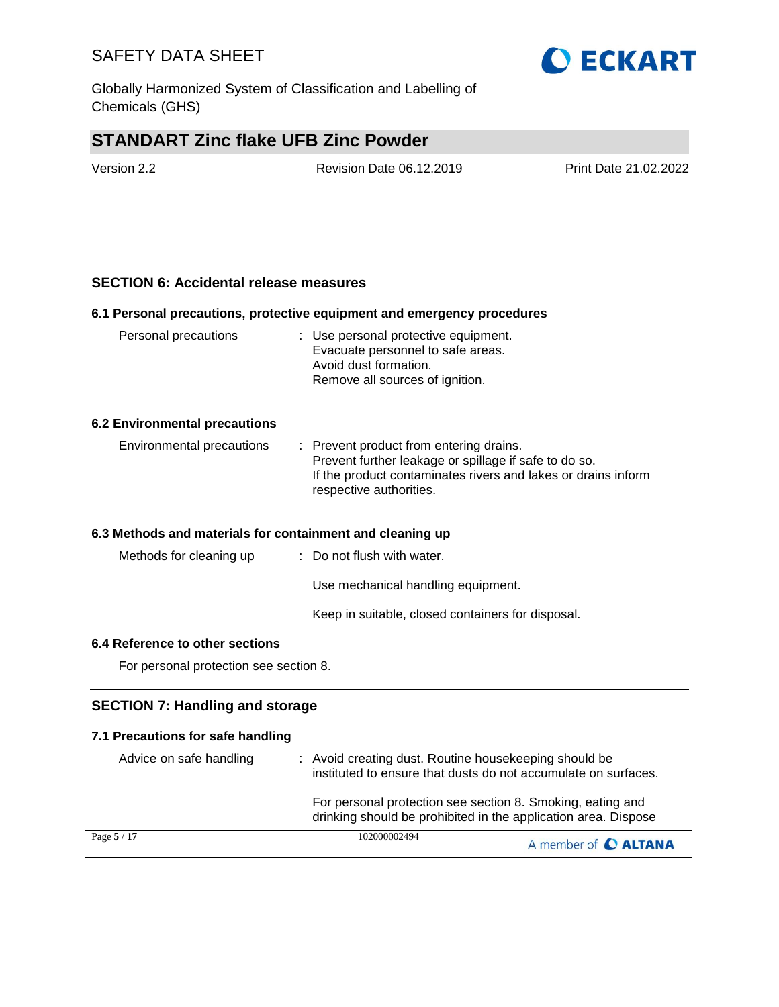Globally Harmonized System of Classification and Labelling of Chemicals (GHS)

## **STANDART Zinc flake UFB Zinc Powder**

| Version 2.2 | <b>Revision Date 06.12.2019</b> | Print Date 21.02.2022 |
|-------------|---------------------------------|-----------------------|
|             |                                 |                       |

#### **SECTION 6: Accidental release measures**

#### **6.1 Personal precautions, protective equipment and emergency procedures**

| Personal precautions                 | : Use personal protective equipment.<br>Evacuate personnel to safe areas.<br>Avoid dust formation.<br>Remove all sources of ignition.                                                        |
|--------------------------------------|----------------------------------------------------------------------------------------------------------------------------------------------------------------------------------------------|
| <b>6.2 Environmental precautions</b> |                                                                                                                                                                                              |
| Environmental precautions            | : Prevent product from entering drains.<br>Prevent further leakage or spillage if safe to do so.<br>If the product contaminates rivers and lakes or drains inform<br>respective authorities. |
|                                      | 6.3 Methods and materials for containment and cleaning up                                                                                                                                    |
| Methods for cleaning up              | $\therefore$ Do not flush with water.                                                                                                                                                        |
|                                      | Use mechanical handling equipment.                                                                                                                                                           |

Keep in suitable, closed containers for disposal.

#### **6.4 Reference to other sections**

For personal protection see section 8.

#### **SECTION 7: Handling and storage**

#### **7.1 Precautions for safe handling**

| Advice on safe handling | : Avoid creating dust. Routine housekeeping should be<br>instituted to ensure that dusts do not accumulate on surfaces.      |                      |  |
|-------------------------|------------------------------------------------------------------------------------------------------------------------------|----------------------|--|
|                         | For personal protection see section 8. Smoking, eating and<br>drinking should be prohibited in the application area. Dispose |                      |  |
| Page 5 / 17             | 102000002494                                                                                                                 | A member of C ALTANA |  |

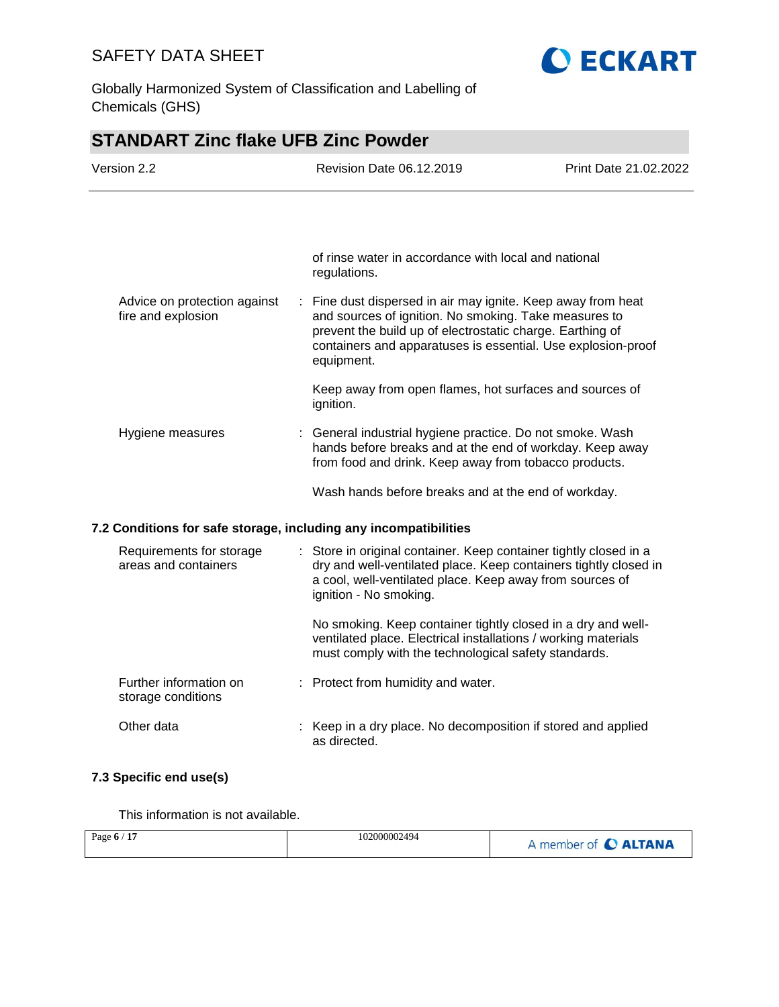



# **STANDART Zinc flake UFB Zinc Powder**

| Version 2.2                                                      |  | Revision Date 06.12.2019                                                                                                                                                                                                                                         | Print Date 21.02.2022 |
|------------------------------------------------------------------|--|------------------------------------------------------------------------------------------------------------------------------------------------------------------------------------------------------------------------------------------------------------------|-----------------------|
|                                                                  |  |                                                                                                                                                                                                                                                                  |                       |
|                                                                  |  | of rinse water in accordance with local and national<br>regulations.                                                                                                                                                                                             |                       |
| Advice on protection against<br>fire and explosion               |  | : Fine dust dispersed in air may ignite. Keep away from heat<br>and sources of ignition. No smoking. Take measures to<br>prevent the build up of electrostatic charge. Earthing of<br>containers and apparatuses is essential. Use explosion-proof<br>equipment. |                       |
|                                                                  |  | Keep away from open flames, hot surfaces and sources of<br>ignition.                                                                                                                                                                                             |                       |
| Hygiene measures                                                 |  | : General industrial hygiene practice. Do not smoke. Wash<br>hands before breaks and at the end of workday. Keep away<br>from food and drink. Keep away from tobacco products.                                                                                   |                       |
|                                                                  |  | Wash hands before breaks and at the end of workday.                                                                                                                                                                                                              |                       |
| 7.2 Conditions for safe storage, including any incompatibilities |  |                                                                                                                                                                                                                                                                  |                       |
| Requirements for storage<br>areas and containers                 |  | : Store in original container. Keep container tightly closed in a<br>dry and well-ventilated place. Keep containers tightly closed in<br>a cool, well-ventilated place. Keep away from sources of<br>ignition - No smoking.                                      |                       |
|                                                                  |  | No smoking. Keep container tightly closed in a dry and well-<br>ventilated place. Electrical installations / working materials<br>must comply with the technological safety standards.                                                                           |                       |
| Further information on<br>storage conditions                     |  | : Protect from humidity and water.                                                                                                                                                                                                                               |                       |
| Other data                                                       |  | Keep in a dry place. No decomposition if stored and applied<br>as directed.                                                                                                                                                                                      |                       |

### **7.3 Specific end use(s)**

This information is not available.

| Page $6/17$ | 102000002494 | A member of C ALTANA |
|-------------|--------------|----------------------|
|             |              |                      |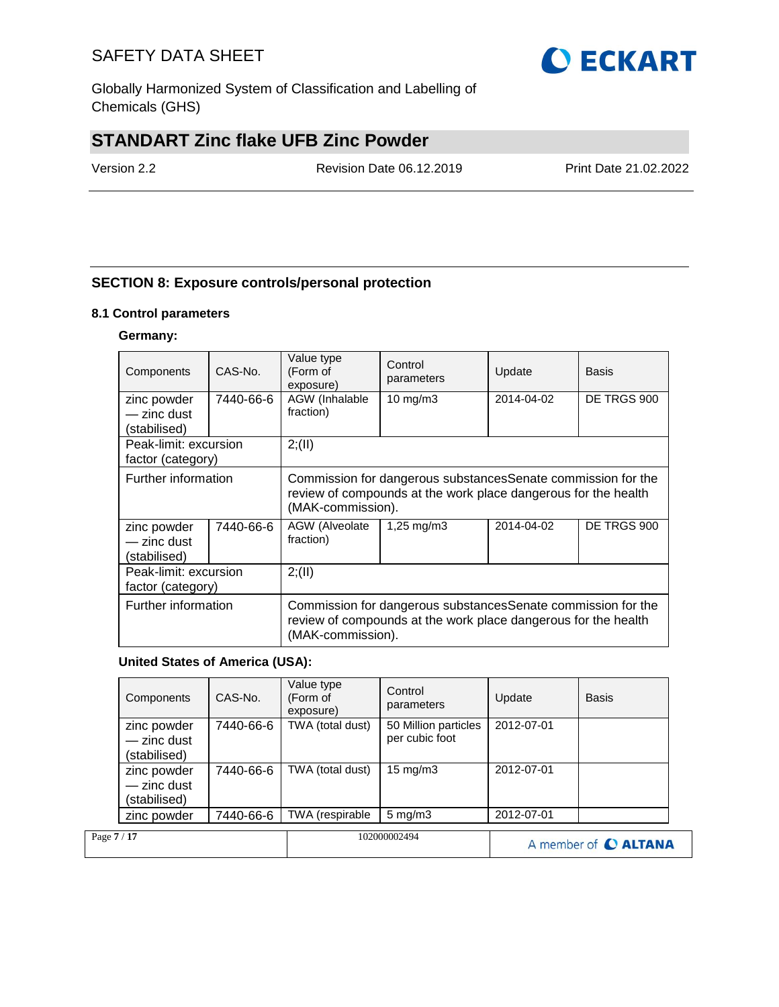Globally Harmonized System of Classification and Labelling of Chemicals (GHS)

## **STANDART Zinc flake UFB Zinc Powder**

Version 2.2 Revision Date 06.12.2019 Print Date 21.02.2022

### **SECTION 8: Exposure controls/personal protection**

#### **8.1 Control parameters**

#### **Germany:**

| Components                                 | CAS-No.   | Value type<br>(Form of<br>exposure)                                                                                                                  | Control<br>parameters | Update      | <b>Basis</b> |  |
|--------------------------------------------|-----------|------------------------------------------------------------------------------------------------------------------------------------------------------|-----------------------|-------------|--------------|--|
| zinc powder<br>- zinc dust                 | 7440-66-6 | AGW (Inhalable<br>fraction)                                                                                                                          | 10 mg/m $3$           | 2014-04-02  | DE TRGS 900  |  |
| (stabilised)                               |           |                                                                                                                                                      |                       |             |              |  |
| Peak-limit: excursion<br>factor (category) |           | 2; (II)                                                                                                                                              |                       |             |              |  |
| Further information                        |           | Commission for dangerous substances Senate commission for the<br>review of compounds at the work place dangerous for the health<br>(MAK-commission). |                       |             |              |  |
| zinc powder<br>- zinc dust<br>(stabilised) | 7440-66-6 | 2014-04-02<br>AGW (Alveolate<br>1,25 $mq/m3$<br>fraction)                                                                                            |                       | DE TRGS 900 |              |  |
| Peak-limit: excursion<br>factor (category) |           | 2; (II)                                                                                                                                              |                       |             |              |  |
| Further information                        |           | Commission for dangerous substances Senate commission for the<br>review of compounds at the work place dangerous for the health<br>(MAK-commission). |                       |             |              |  |

#### **United States of America (USA):**

|             | Components                                 | CAS-No.   | Value type<br>(Form of<br>exposure) | Control<br>parameters                  | Update     | <b>Basis</b>         |
|-------------|--------------------------------------------|-----------|-------------------------------------|----------------------------------------|------------|----------------------|
|             | zinc powder<br>- zinc dust<br>(stabilised) | 7440-66-6 | TWA (total dust)                    | 50 Million particles<br>per cubic foot | 2012-07-01 |                      |
|             | zinc powder<br>- zinc dust<br>(stabilised) | 7440-66-6 | TWA (total dust)                    | $15 \text{ mg/m}$                      | 2012-07-01 |                      |
|             | zinc powder                                | 7440-66-6 | TWA (respirable                     | $5 \text{ mg/m}$ 3                     | 2012-07-01 |                      |
| Page 7 / 17 |                                            |           |                                     | 102000002494                           |            | A member of C ALTANA |

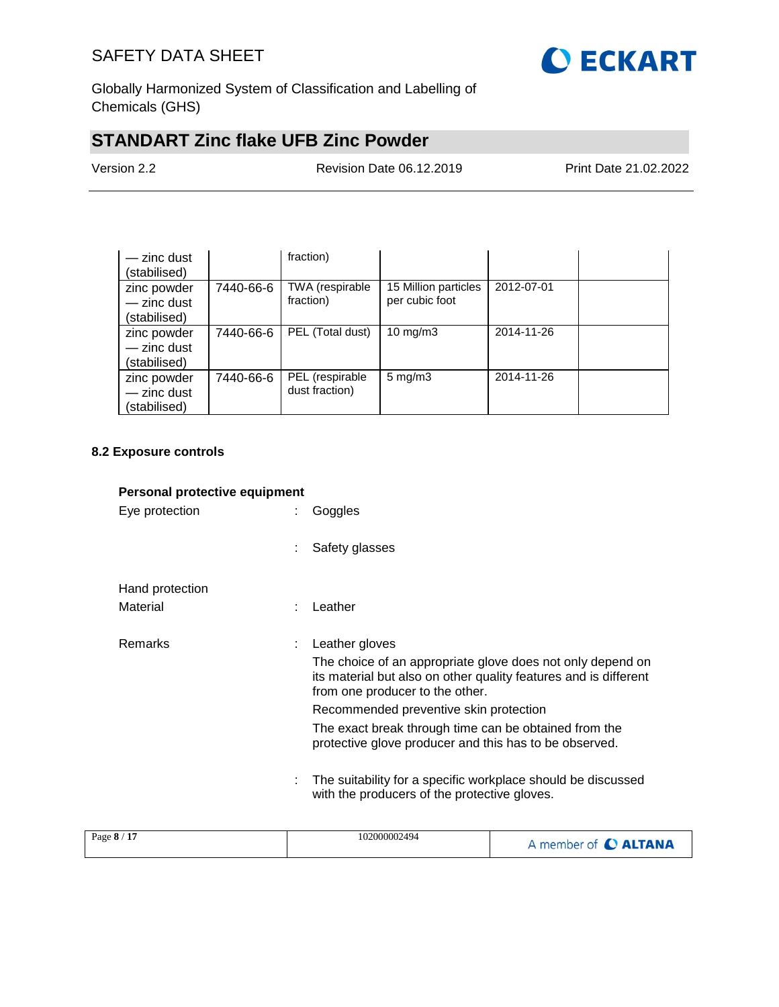

Globally Harmonized System of Classification and Labelling of Chemicals (GHS)

# **STANDART Zinc flake UFB Zinc Powder**

Version 2.2 Revision Date 06.12.2019 Print Date 21.02.2022

| $-$ zinc dust<br>(stabilised)                |           | fraction)                         |                                        |            |  |
|----------------------------------------------|-----------|-----------------------------------|----------------------------------------|------------|--|
| zinc powder<br>$-$ zinc dust<br>(stabilised) | 7440-66-6 | TWA (respirable<br>fraction)      | 15 Million particles<br>per cubic foot | 2012-07-01 |  |
| zinc powder<br>- zinc dust<br>(stabilised)   | 7440-66-6 | PEL (Total dust)                  | $10 \text{ mg/m}$                      | 2014-11-26 |  |
| zinc powder<br>- zinc dust<br>(stabilised)   | 7440-66-6 | PEL (respirable<br>dust fraction) | $5 \text{ mg/m}$ 3                     | 2014-11-26 |  |

#### **8.2 Exposure controls**

| Personal protective equipment |   |                                                                                                                                                                   |  |
|-------------------------------|---|-------------------------------------------------------------------------------------------------------------------------------------------------------------------|--|
| Eye protection                |   | Goggles                                                                                                                                                           |  |
|                               | ÷ | Safety glasses                                                                                                                                                    |  |
| Hand protection               |   |                                                                                                                                                                   |  |
| Material                      | ٠ | Leather                                                                                                                                                           |  |
| <b>Remarks</b>                | ÷ | Leather gloves                                                                                                                                                    |  |
|                               |   | The choice of an appropriate glove does not only depend on<br>its material but also on other quality features and is different<br>from one producer to the other. |  |
|                               |   | Recommended preventive skin protection                                                                                                                            |  |
|                               |   | The exact break through time can be obtained from the<br>protective glove producer and this has to be observed.                                                   |  |
|                               |   | The suitability for a specific workplace should be discussed<br>with the producers of the protective gloves.                                                      |  |
|                               |   |                                                                                                                                                                   |  |

| Page 8 / 17 | 102000002494 | A member of C ALTANA |
|-------------|--------------|----------------------|
|-------------|--------------|----------------------|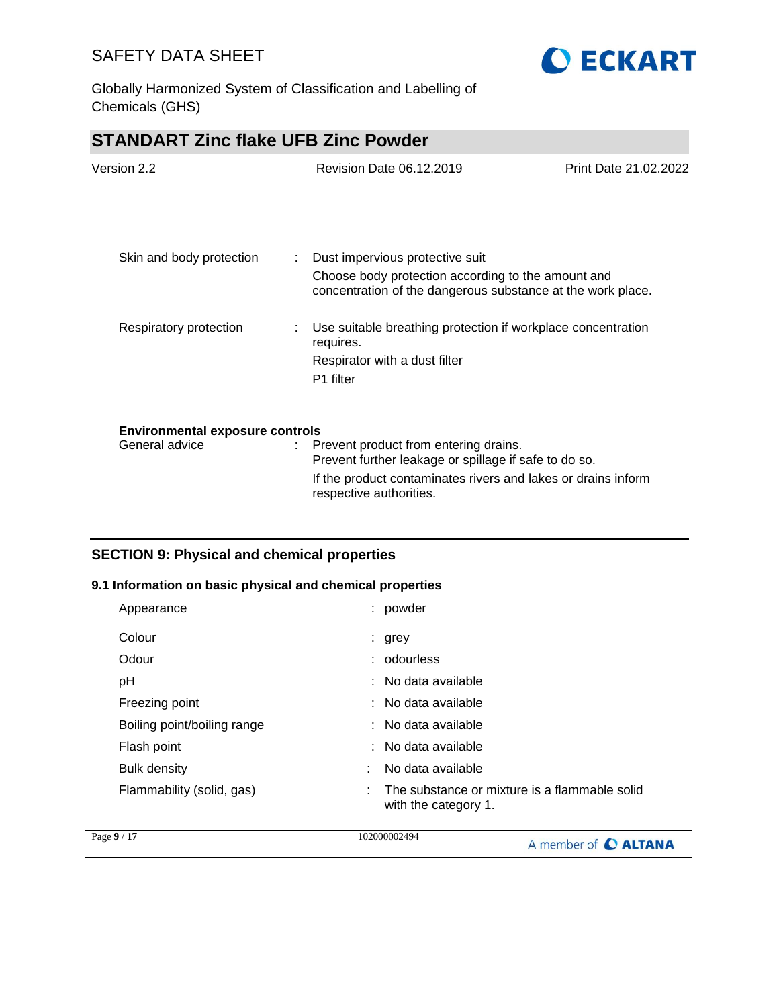

Globally Harmonized System of Classification and Labelling of Chemicals (GHS)

## **STANDART Zinc flake UFB Zinc Powder**

| Version 2.2                            |   | Revision Date 06.12.2019                                                                                          | Print Date 21.02.2022 |
|----------------------------------------|---|-------------------------------------------------------------------------------------------------------------------|-----------------------|
|                                        |   |                                                                                                                   |                       |
| Skin and body protection               |   | Dust impervious protective suit                                                                                   |                       |
|                                        |   | Choose body protection according to the amount and<br>concentration of the dangerous substance at the work place. |                       |
| Respiratory protection                 | ÷ | Use suitable breathing protection if workplace concentration<br>requires.                                         |                       |
|                                        |   | Respirator with a dust filter                                                                                     |                       |
|                                        |   | P1 filter                                                                                                         |                       |
| <b>Environmental exposure controls</b> |   |                                                                                                                   |                       |
| General advice                         |   | : Prevent product from entering drains.<br>Prevent further leakage or spillage if safe to do so.                  |                       |
|                                        |   | If the product contaminates rivers and lakes or drains inform                                                     |                       |

respective authorities.

### **SECTION 9: Physical and chemical properties**

#### **9.1 Information on basic physical and chemical properties**

| Appearance                  |   | powder                                                                |
|-----------------------------|---|-----------------------------------------------------------------------|
| Colour                      |   | : grey                                                                |
| Odour                       |   | : odourless                                                           |
| pH                          |   | : No data available                                                   |
| Freezing point              |   | : No data available                                                   |
| Boiling point/boiling range |   | : No data available                                                   |
| Flash point                 |   | : No data available                                                   |
| Bulk density                |   | No data available                                                     |
| Flammability (solid, gas)   | ÷ | The substance or mixture is a flammable solid<br>with the category 1. |

| Page 9 / 17 | 102000002494 | A member of C ALTANA |
|-------------|--------------|----------------------|
|             |              |                      |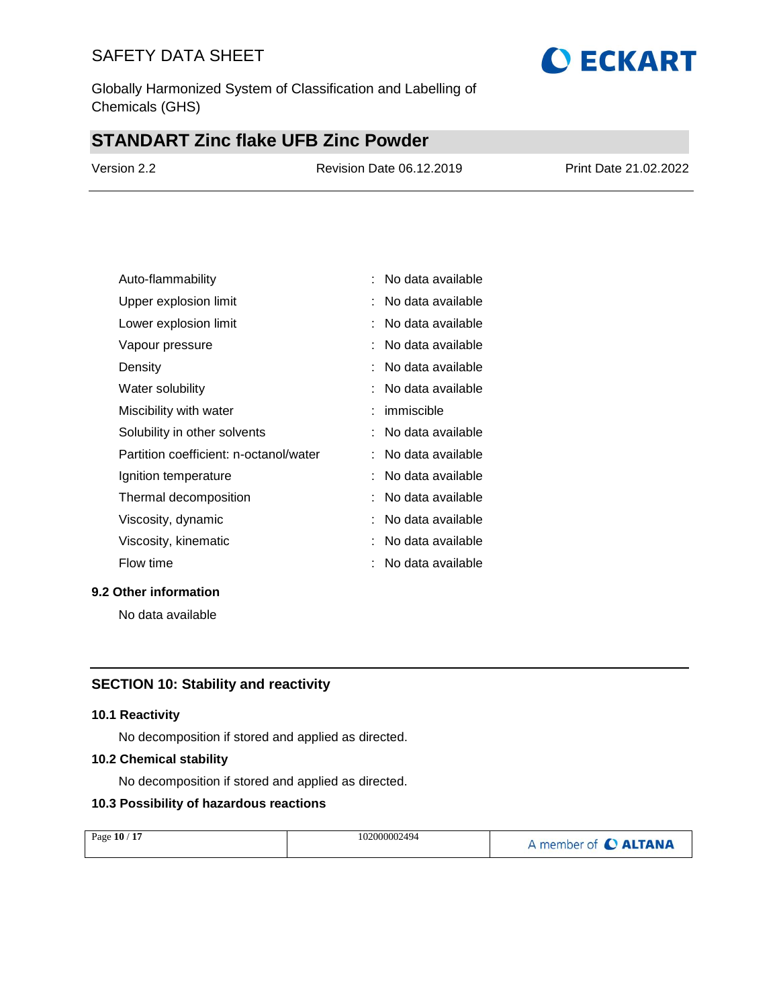Globally Harmonized System of Classification and Labelling of Chemicals (GHS)

# **STANDART Zinc flake UFB Zinc Powder**

| Version 2.2 | Revision Date 06.12.2019 | Print Date 21.02.2022 |
|-------------|--------------------------|-----------------------|
|             |                          |                       |

| Auto-flammability                      | No data available   |
|----------------------------------------|---------------------|
| Upper explosion limit                  | No data available   |
| Lower explosion limit                  | No data available   |
| Vapour pressure                        | No data available   |
| Density                                | No data available   |
| Water solubility                       | : No data available |
| Miscibility with water                 | : immiscible        |
| Solubility in other solvents           | : No data available |
| Partition coefficient: n-octanol/water | : No data available |
| Ignition temperature                   | No data available   |
| Thermal decomposition                  | No data available   |
| Viscosity, dynamic                     | : No data available |
| Viscosity, kinematic                   | No data available   |
| Flow time                              | No data available   |

#### **9.2 Other information**

No data available

#### **SECTION 10: Stability and reactivity**

#### **10.1 Reactivity**

No decomposition if stored and applied as directed.

#### **10.2 Chemical stability**

No decomposition if stored and applied as directed.

#### **10.3 Possibility of hazardous reactions**

| Page 10 / 17 | 102000002494 | A member of C ALTANA |
|--------------|--------------|----------------------|
|              |              |                      |

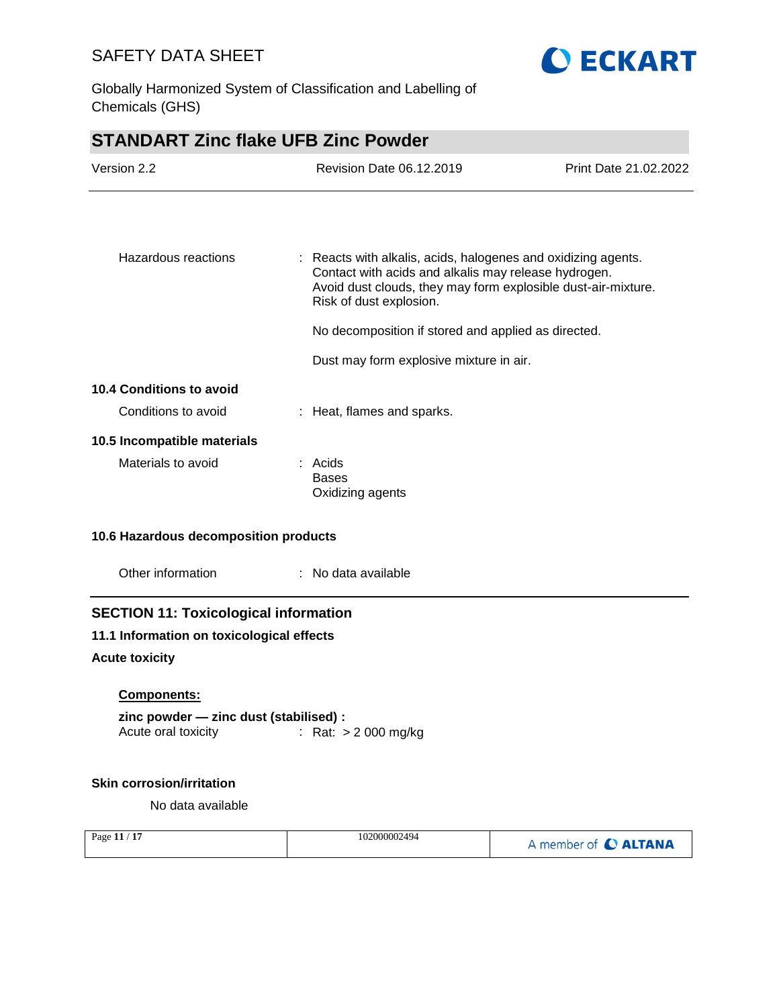



| <b>STANDART Zinc flake UFB Zinc Powder</b>   |  |                                                                                                                                                                                                                   |                       |
|----------------------------------------------|--|-------------------------------------------------------------------------------------------------------------------------------------------------------------------------------------------------------------------|-----------------------|
| Version 2.2                                  |  | <b>Revision Date 06.12.2019</b>                                                                                                                                                                                   | Print Date 21.02.2022 |
|                                              |  |                                                                                                                                                                                                                   |                       |
|                                              |  |                                                                                                                                                                                                                   |                       |
| Hazardous reactions                          |  | : Reacts with alkalis, acids, halogenes and oxidizing agents.<br>Contact with acids and alkalis may release hydrogen.<br>Avoid dust clouds, they may form explosible dust-air-mixture.<br>Risk of dust explosion. |                       |
|                                              |  | No decomposition if stored and applied as directed.                                                                                                                                                               |                       |
|                                              |  | Dust may form explosive mixture in air.                                                                                                                                                                           |                       |
| <b>10.4 Conditions to avoid</b>              |  |                                                                                                                                                                                                                   |                       |
| Conditions to avoid                          |  | : Heat, flames and sparks.                                                                                                                                                                                        |                       |
| 10.5 Incompatible materials                  |  |                                                                                                                                                                                                                   |                       |
| Materials to avoid                           |  | : Acids<br><b>Bases</b><br>Oxidizing agents                                                                                                                                                                       |                       |
| 10.6 Hazardous decomposition products        |  |                                                                                                                                                                                                                   |                       |
| Other information                            |  | : No data available                                                                                                                                                                                               |                       |
| <b>SECTION 11: Toxicological information</b> |  |                                                                                                                                                                                                                   |                       |
| 11.1 Information on toxicological effects    |  |                                                                                                                                                                                                                   |                       |
| <b>Acute toxicity</b>                        |  |                                                                                                                                                                                                                   |                       |
| Components:                                  |  |                                                                                                                                                                                                                   |                       |
| zinc powder - zinc dust (stabilised) :       |  |                                                                                                                                                                                                                   |                       |
| Acute oral toxicity                          |  | : Rat: $> 2000$ mg/kg                                                                                                                                                                                             |                       |
| <b>Skin corrosion/irritation</b>             |  |                                                                                                                                                                                                                   |                       |

No data available

| $-17$<br>Page 11 / | 102000002494 | A member of C ALTANA |
|--------------------|--------------|----------------------|
|--------------------|--------------|----------------------|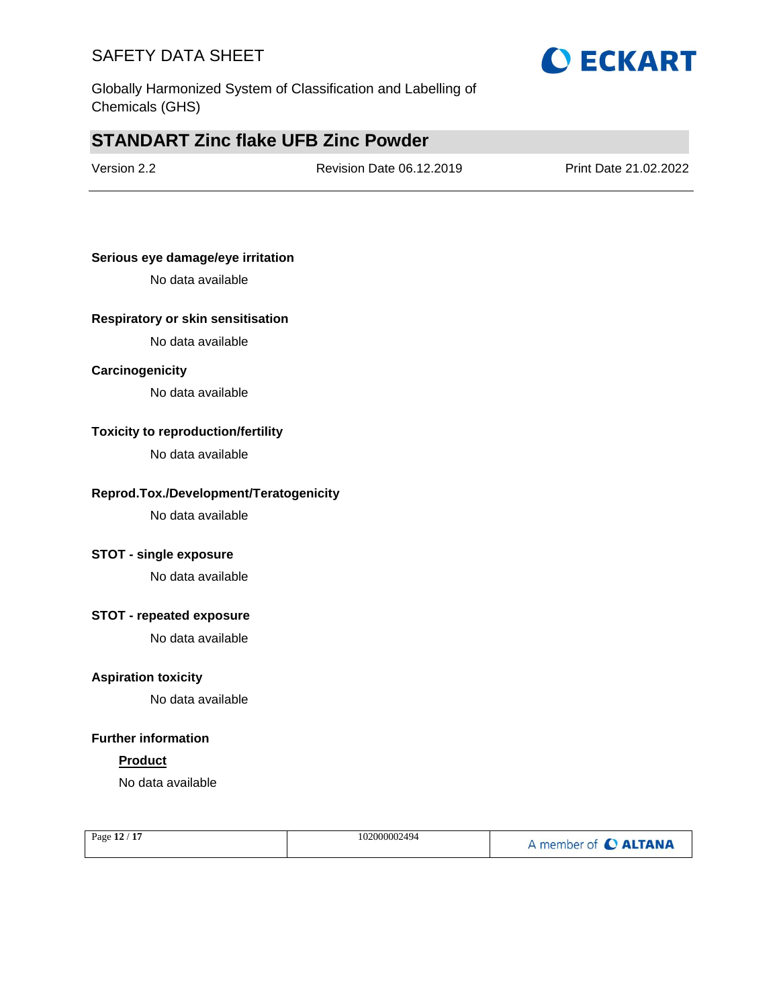

Globally Harmonized System of Classification and Labelling of Chemicals (GHS)

## **STANDART Zinc flake UFB Zinc Powder**

Version 2.2 Revision Date 06.12.2019 Print Date 21.02.2022

#### **Serious eye damage/eye irritation**

No data available

#### **Respiratory or skin sensitisation**

No data available

#### **Carcinogenicity**

No data available

#### **Toxicity to reproduction/fertility**

No data available

#### **Reprod.Tox./Development/Teratogenicity**

No data available

#### **STOT - single exposure**

No data available

#### **STOT - repeated exposure**

No data available

#### **Aspiration toxicity**

No data available

### **Further information**

#### **Product**

No data available

| Page 12 / 17 | 102000002494 | A member of C ALTANA |
|--------------|--------------|----------------------|
|              |              |                      |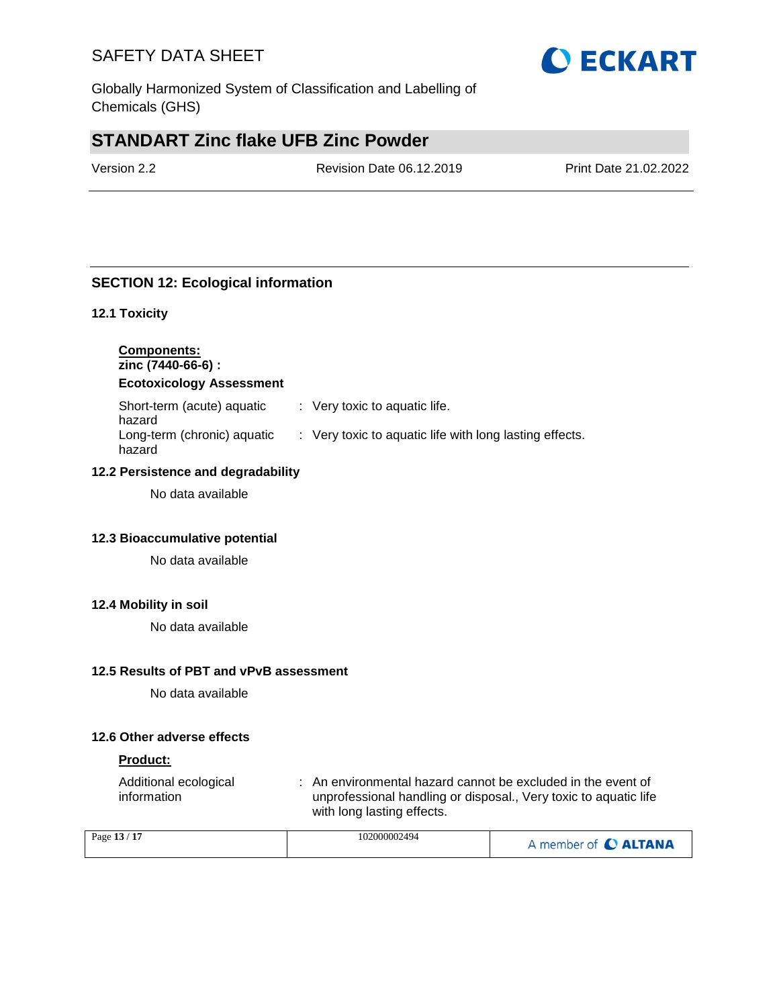Globally Harmonized System of Classification and Labelling of Chemicals (GHS)

# **STANDART Zinc flake UFB Zinc Powder**

Version 2.2 Revision Date 06.12.2019 Print Date 21.02.2022

### **SECTION 12: Ecological information**

#### **12.1 Toxicity**

**Components: zinc (7440-66-6) :**

**Ecotoxicology Assessment**

| Short-term (acute) aquatic<br>hazard  | $\therefore$ Very toxic to aquatic life.                |
|---------------------------------------|---------------------------------------------------------|
| Long-term (chronic) aquatic<br>hazard | : Very toxic to aquatic life with long lasting effects. |

#### **12.2 Persistence and degradability**

No data available

#### **12.3 Bioaccumulative potential**

No data available

#### **12.4 Mobility in soil**

No data available

#### **12.5 Results of PBT and vPvB assessment**

No data available

#### **12.6 Other adverse effects**

#### **Product:**

| Additional ecological | : An environmental hazard cannot be excluded in the event of     |
|-----------------------|------------------------------------------------------------------|
| information           | unprofessional handling or disposal., Very toxic to aquatic life |
|                       | with long lasting effects.                                       |

| Page 13 / 17 | 102000002494 | A member of C ALTANA |
|--------------|--------------|----------------------|
|--------------|--------------|----------------------|

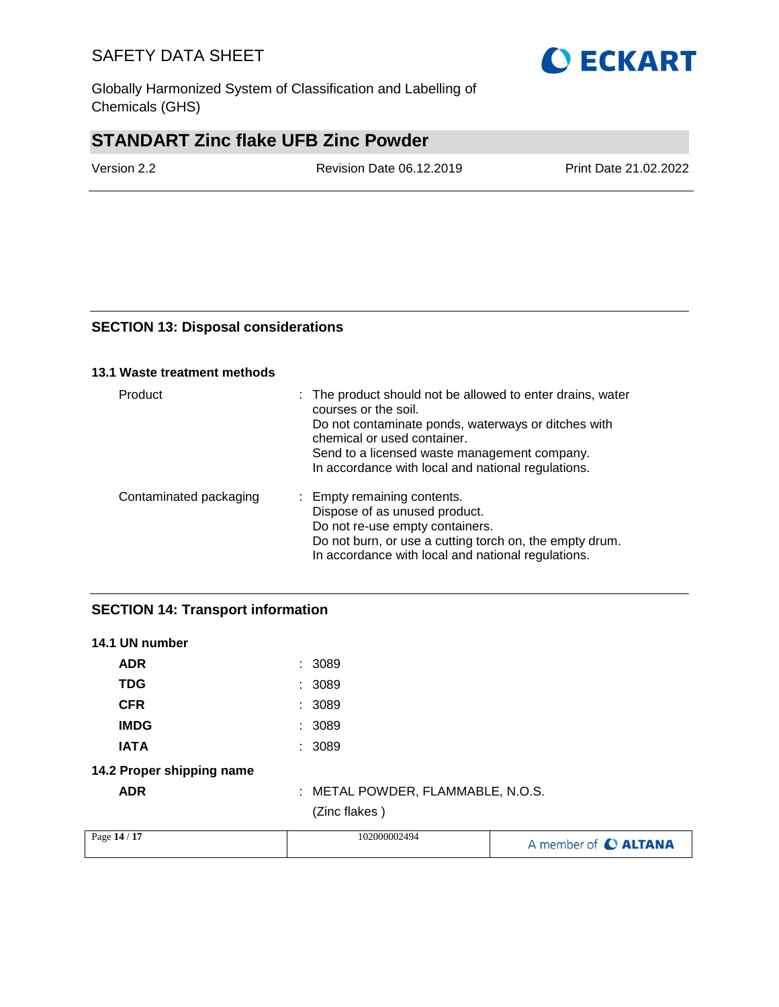Globally Harmonized System of Classification and Labelling of Chemicals (GHS)

# **STANDART Zinc flake UFB Zinc Powder**

Version 2.2 Revision Date 06.12.2019 Print Date 21.02.2022

#### **SECTION 13: Disposal considerations**

#### **13.1 Waste treatment methods**

| Product                | : The product should not be allowed to enter drains, water<br>courses or the soil.<br>Do not contaminate ponds, waterways or ditches with<br>chemical or used container.<br>Send to a licensed waste management company.<br>In accordance with local and national regulations. |
|------------------------|--------------------------------------------------------------------------------------------------------------------------------------------------------------------------------------------------------------------------------------------------------------------------------|
| Contaminated packaging | : Empty remaining contents.<br>Dispose of as unused product.<br>Do not re-use empty containers.<br>Do not burn, or use a cutting torch on, the empty drum.<br>In accordance with local and national regulations.                                                               |

### **SECTION 14: Transport information**

| 14.1 UN number            |                                   |                      |
|---------------------------|-----------------------------------|----------------------|
| <b>ADR</b>                | : 3089                            |                      |
| <b>TDG</b>                | : 3089                            |                      |
| <b>CFR</b>                | : 3089                            |                      |
| <b>IMDG</b>               | : 3089                            |                      |
| <b>IATA</b>               | : 3089                            |                      |
| 14.2 Proper shipping name |                                   |                      |
| <b>ADR</b>                | : METAL POWDER, FLAMMABLE, N.O.S. |                      |
|                           | (Zinc flakes)                     |                      |
| Page 14 / 17              | 102000002494                      | A member of C ALTANA |

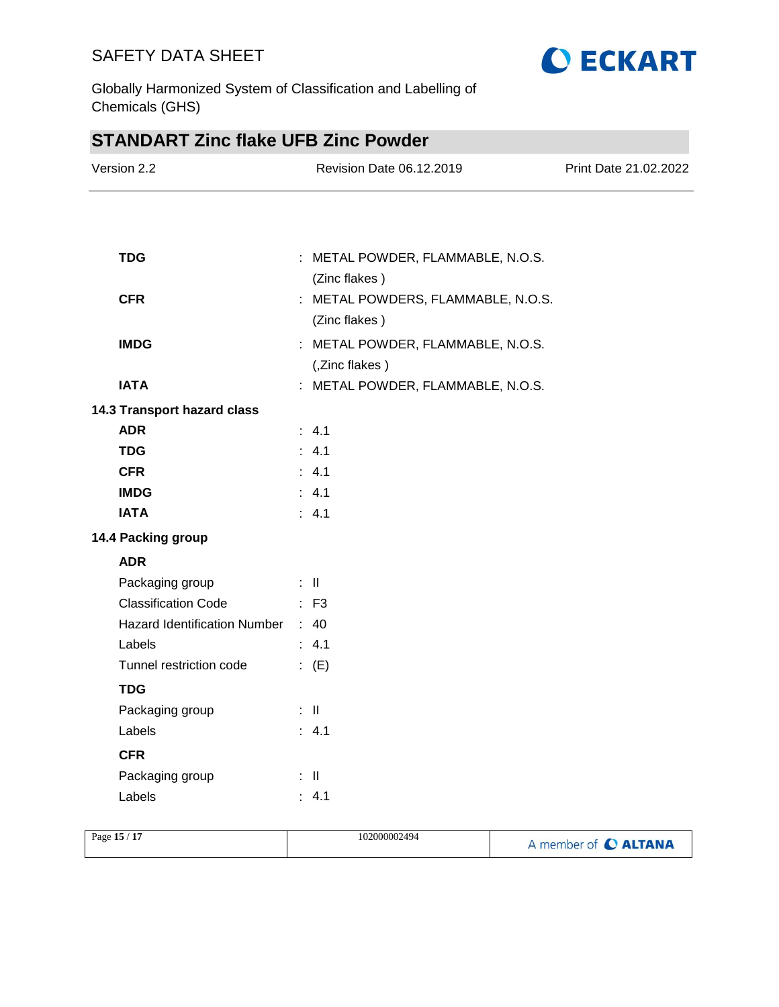

Globally Harmonized System of Classification and Labelling of Chemicals (GHS)

| <b>STANDART Zinc flake UFB Zinc Powder</b>        |  |                                    |                       |
|---------------------------------------------------|--|------------------------------------|-----------------------|
| Version 2.2                                       |  | Revision Date 06.12.2019           | Print Date 21.02.2022 |
|                                                   |  |                                    |                       |
|                                                   |  |                                    |                       |
| <b>TDG</b>                                        |  | : METAL POWDER, FLAMMABLE, N.O.S.  |                       |
|                                                   |  | (Zinc flakes)                      |                       |
| <b>CFR</b>                                        |  | : METAL POWDERS, FLAMMABLE, N.O.S. |                       |
|                                                   |  | (Zinc flakes)                      |                       |
| <b>IMDG</b>                                       |  | : METAL POWDER, FLAMMABLE, N.O.S.  |                       |
|                                                   |  | (,Zinc flakes)                     |                       |
| <b>IATA</b>                                       |  | : METAL POWDER, FLAMMABLE, N.O.S.  |                       |
| 14.3 Transport hazard class                       |  |                                    |                       |
| <b>ADR</b>                                        |  | : 4.1                              |                       |
| <b>TDG</b>                                        |  | : 4.1                              |                       |
| <b>CFR</b>                                        |  | : 4.1                              |                       |
| <b>IMDG</b>                                       |  | : 4.1                              |                       |
| <b>IATA</b>                                       |  | $\therefore$ 4.1                   |                       |
| 14.4 Packing group                                |  |                                    |                       |
| <b>ADR</b>                                        |  |                                    |                       |
| Packaging group                                   |  | ÷ II.                              |                       |
| <b>Classification Code</b><br>$\mathbb{R}^2$ : F3 |  |                                    |                       |
| Hazard Identification Number : 40                 |  |                                    |                       |
| Labels                                            |  | : 4.1                              |                       |
| Tunnel restriction code                           |  | $\colon$ (E)                       |                       |
| <b>TDG</b>                                        |  |                                    |                       |
| Packaging group                                   |  | : II                               |                       |
| Labels                                            |  | : 4.1                              |                       |
| <b>CFR</b>                                        |  |                                    |                       |
| Packaging group                                   |  | $\mathbb{R}^+$                     |                       |
| Labels                                            |  | : 4.1                              |                       |
|                                                   |  |                                    |                       |

| /17<br>Page 15 / | 102000002494 | A member of <b>C ALTANA</b> |
|------------------|--------------|-----------------------------|
|                  |              |                             |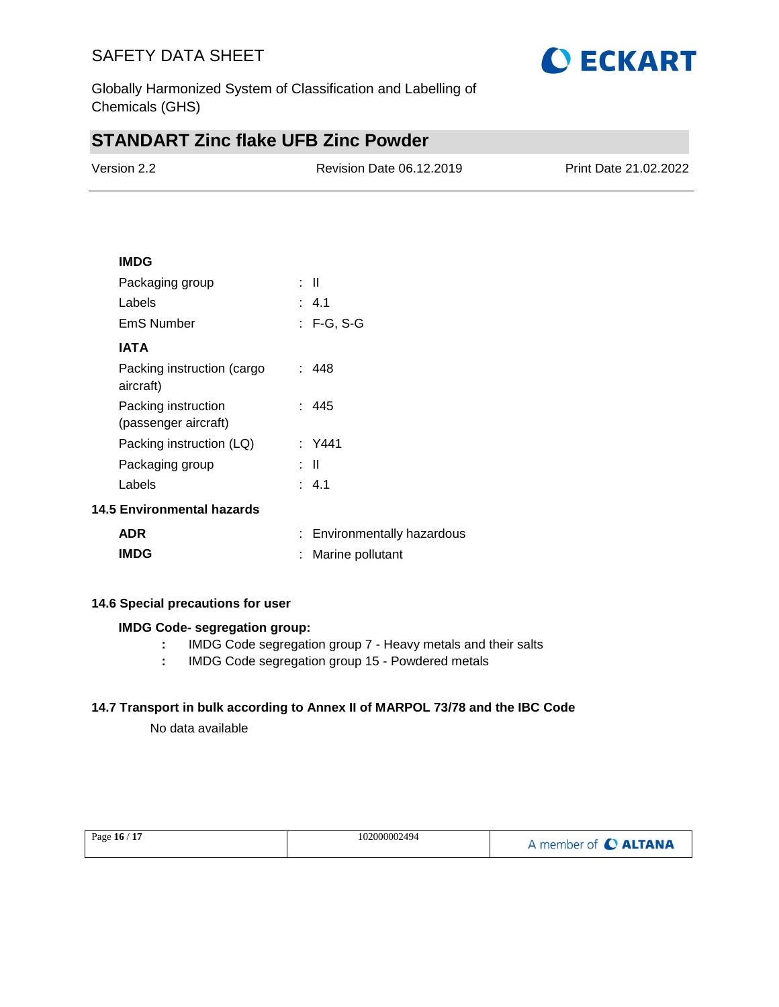

Globally Harmonized System of Classification and Labelling of Chemicals (GHS)

## **STANDART Zinc flake UFB Zinc Powder**

| Version 2.2 | Revision Date 06.12.2019 | Print Date 21.02.2022 |
|-------------|--------------------------|-----------------------|
|             |                          |                       |

#### **IMDG**

| Packaging group                             | : II       |  |
|---------------------------------------------|------------|--|
| Labels                                      | : 4.1      |  |
| EmS Number                                  | : F-G, S-G |  |
| IATA                                        |            |  |
| Packing instruction (cargo<br>aircraft)     | : 448      |  |
| Packing instruction<br>(passenger aircraft) | : 445      |  |
| Packing instruction (LQ)                    | : Y441     |  |
| Packaging group                             | : II       |  |
| Labels                                      | : 4.1      |  |
| <b>14.5 Environmental hazards</b>           |            |  |

| <b>ADR</b>  | : Environmentally hazardous |
|-------------|-----------------------------|
| <b>IMDG</b> | : Marine pollutant          |

#### **14.6 Special precautions for user**

#### **IMDG Code- segregation group:**

- **:** IMDG Code segregation group 7 Heavy metals and their salts
- **:** IMDG Code segregation group 15 Powdered metals

### **14.7 Transport in bulk according to Annex II of MARPOL 73/78 and the IBC Code**

No data available

| Page $16/17$ | 102000002494 | A member of C ALTANA |
|--------------|--------------|----------------------|
|              |              |                      |